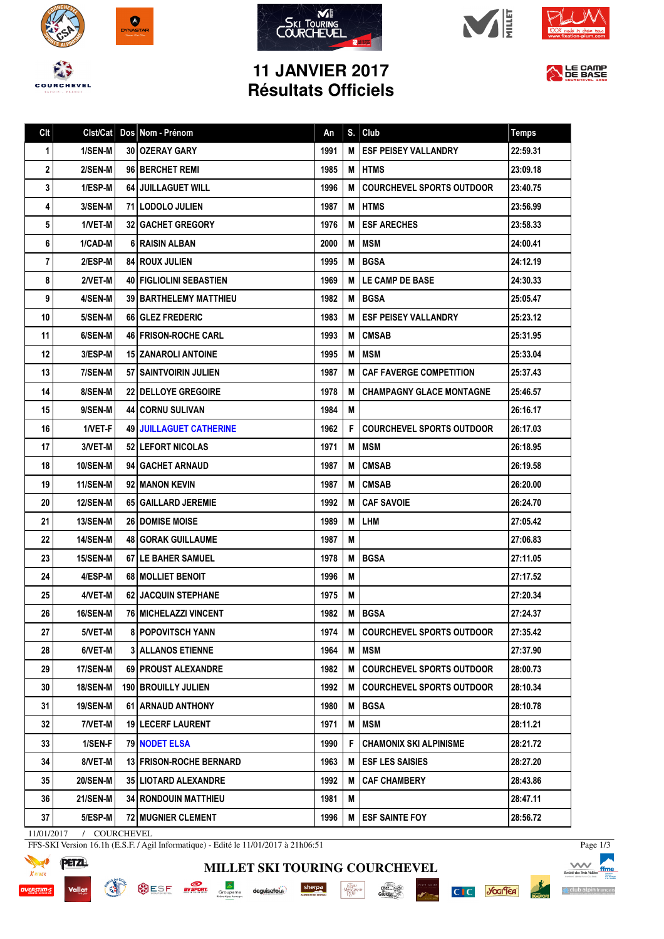









## **11 JANVIER 2017 Résultats Officiels**



| Clt |                 | Clst/Cat   Dos   Nom - Prénom    | An   | S. | Club                             | <b>Temps</b> |
|-----|-----------------|----------------------------------|------|----|----------------------------------|--------------|
| 1   | 1/SEN-M         | 30 OZERAY GARY                   | 1991 | М  | <b>ESF PEISEY VALLANDRY</b>      | 22:59.31     |
| 2   | 2/SEN-M         | 96 BERCHET REMI                  | 1985 | M  | <b>HTMS</b>                      | 23:09.18     |
| 3   | 1/ESP-M         | <b>64 JUILLAGUET WILL</b>        | 1996 | М  | <b>COURCHEVEL SPORTS OUTDOOR</b> | 23:40.75     |
| 4   | 3/SEN-M         | 71 LODOLO JULIEN                 | 1987 | M  | <b>IHTMS</b>                     | 23:56.99     |
| 5   | 1/VET-M         | <b>32 GACHET GREGORY</b>         | 1976 | M  | <b>ESF ARECHES</b>               | 23:58.33     |
| 6   | 1/CAD-M         | 6 RAISIN ALBAN                   | 2000 | M  | <b>MSM</b>                       | 24:00.41     |
| 7   | 2/ESP-M         | <b>84 ROUX JULIEN</b>            | 1995 | M  | <b>BGSA</b>                      | 24:12.19     |
| 8   | 2/VET-M         | <b>40   FIGLIOLINI SEBASTIEN</b> | 1969 | м  | LE CAMP DE BASE                  | 24:30.33     |
| 9   | 4/SEN-M         | <b>39 I BARTHELEMY MATTHIEU</b>  | 1982 | М  | <b>BGSA</b>                      | 25:05.47     |
| 10  | 5/SEN-M         | 66 GLEZ FREDERIC                 | 1983 | м  | <b>ESF PEISEY VALLANDRY</b>      | 25:23.12     |
| 11  | 6/SEN-M         | <b>46 FRISON-ROCHE CARL</b>      | 1993 | M  | <b>CMSAB</b>                     | 25:31.95     |
| 12  | 3/ESP-M         | 15 ZANAROLI ANTOINE              | 1995 | M  | MSM                              | 25:33.04     |
| 13  | 7/SEN-M         | 57 SAINTVOIRIN JULIEN            | 1987 | M  | <b>CAF FAVERGE COMPETITION</b>   | 25:37.43     |
| 14  | 8/SEN-M         | <b>22 DELLOYE GREGOIRE</b>       | 1978 | M  | <b>CHAMPAGNY GLACE MONTAGNE</b>  | 25:46.57     |
| 15  | 9/SEN-M         | <b>44 CORNU SULIVAN</b>          | 1984 | M  |                                  | 26:16.17     |
| 16  | 1/VET-F         | <b>49 JUILLAGUET CATHERINE</b>   | 1962 | F  | <b>COURCHEVEL SPORTS OUTDOOR</b> | 26:17.03     |
| 17  | 3/VET-M         | 52   LEFORT NICOLAS              | 1971 | M  | MSM                              | 26:18.95     |
| 18  | 10/SEN-M        | 94 GACHET ARNAUD                 | 1987 | M  | <b>CMSAB</b>                     | 26:19.58     |
| 19  | 11/SEN-M        | 92 MANON KEVIN                   | 1987 | M  | <b>CMSAB</b>                     | 26:20.00     |
| 20  | 12/SEN-M        | 65 GAILLARD JEREMIE              | 1992 | М  | <b>CAF SAVOIE</b>                | 26:24.70     |
| 21  | <b>13/SEN-M</b> | <b>26 I DOMISE MOISE</b>         | 1989 | M  | <b>LHM</b>                       | 27:05.42     |
| 22  | <b>14/SEN-M</b> | <b>48   GORAK GUILLAUME</b>      | 1987 | M  |                                  | 27:06.83     |
| 23  | <b>15/SEN-M</b> | <b>67 I LE BAHER SAMUEL</b>      | 1978 | M  | <b>BGSA</b>                      | 27:11.05     |
| 24  | 4/ESP-M         | 68 MOLLIET BENOIT                | 1996 | M  |                                  | 27:17.52     |
| 25  | 4/VET-M         | <b>62   JACQUIN STEPHANE</b>     | 1975 | M  |                                  | 27:20.34     |
| 26  | <b>16/SEN-M</b> | 76   MICHELAZZI VINCENT          | 1982 |    | <b>MIBGSA</b>                    | 27:24.37     |
| 27  | $5/VET-M$       | <b>8 POPOVITSCH YANN</b>         | 1974 | M  | <b>COURCHEVEL SPORTS OUTDOOR</b> | 27:35.42     |
| 28  | 6/VET-M         | <b>3 ALLANOS ETIENNE</b>         | 1964 | M  | <b>MSM</b>                       | 27:37.90     |
| 29  | <b>17/SEN-M</b> | 69   PROUST ALEXANDRE            | 1982 | M  | <b>COURCHEVEL SPORTS OUTDOOR</b> | 28:00.73     |
| 30  | <b>18/SEN-M</b> | <b>190 BROUILLY JULIEN</b>       | 1992 | М  | <b>COURCHEVEL SPORTS OUTDOOR</b> | 28:10.34     |
| 31  | <b>19/SEN-M</b> | 61 ARNAUD ANTHONY                | 1980 | M  | <b>BGSA</b>                      | 28:10.78     |
| 32  | 7/VET-M         | <b>19 LECERF LAURENT</b>         | 1971 | Μ  | MSM                              | 28:11.21     |
| 33  | 1/SEN-F         | <b>79 NODET ELSA</b>             | 1990 | F  | <b>CHAMONIX SKI ALPINISME</b>    | 28:21.72     |
| 34  | 8/VET-M         | <b>13 FRISON-ROCHE BERNARD</b>   | 1963 | м  | <b>ESF LES SAISIES</b>           | 28:27.20     |
| 35  | <b>20/SEN-M</b> | <b>35 LIOTARD ALEXANDRE</b>      | 1992 | М  | <b>CAF CHAMBERY</b>              | 28:43.86     |
| 36  | 21/SEN-M        | <b>34 RONDOUIN MATTHIEU</b>      | 1981 | Μ  |                                  | 28:47.11     |
| 37  | 5/ESP-M         | 72 MUGNIER CLEMENT               | 1996 | M  | <b>ESF SAINTE FOY</b>            | 28:56.72     |

**MILLET SKI TOURING COURCHEVEL**

 $\cdot \underbrace{\mathop{\rm Hom}\limits_{\mathop{\rm DDPC}}\nolimits^{\mathop{\rm Tr}\nolimits}_{\mathop{\rm DDPC}}\nolimits^{\mathop{\rm Tr}\nolimits}}_{\mathop{\rm DDPC}}$ 

 $\frac{\text{chez}}{\text{Cauchy}}$ 

sherpa

11/01/2017 / COURCHEVEL

**MARKAIN BELLING** 

FFS-SKI Version 16.1h (E.S.F. / Agil Informatique) - Edité le 11/01/2017 à 21h06:51

SESF **SYSTEM** Scoupama deguiserola<sup>2</sup>



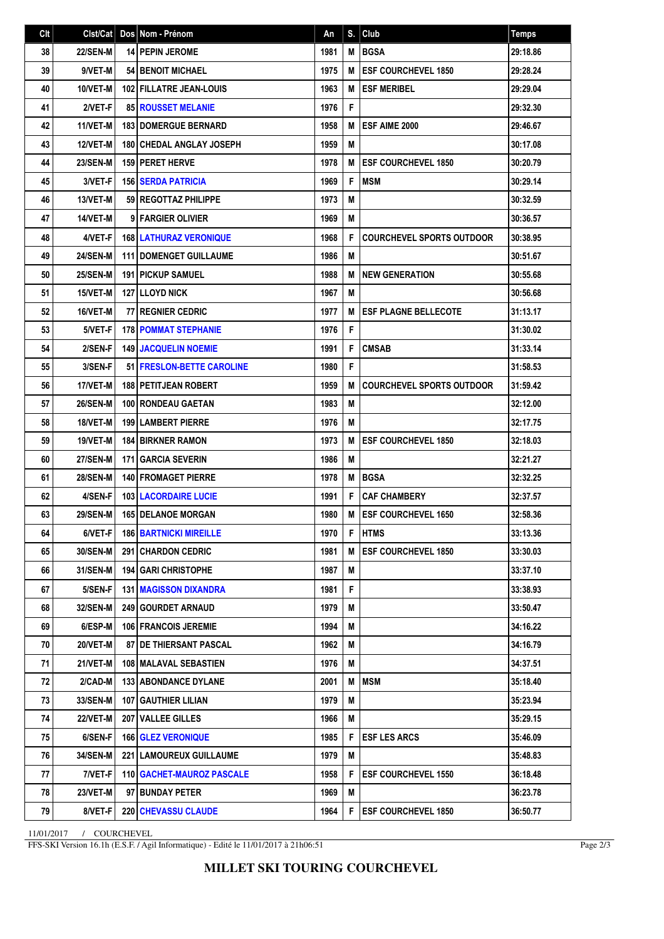| C <sub>It</sub> | Clst/Cat        | Dos Nom - Prénom                 | An   | S. | Club                             | <b>Temps</b> |
|-----------------|-----------------|----------------------------------|------|----|----------------------------------|--------------|
| 38              | <b>22/SEN-M</b> | <b>14 PEPIN JEROME</b>           | 1981 | M  | <b>BGSA</b>                      | 29:18.86     |
| 39              | 9/VET-M         | <b>54 BENOIT MICHAEL</b>         | 1975 | M  | <b>ESF COURCHEVEL 1850</b>       | 29:28.24     |
| 40              | 10/VET-M        | <b>102 FILLATRE JEAN-LOUIS</b>   | 1963 | M  | <b>ESF MERIBEL</b>               | 29:29.04     |
| 41              | 2/VET-F         | <b>85 ROUSSET MELANIE</b>        | 1976 | F  |                                  | 29:32.30     |
| 42              | 11/VET-M        | <b>183 DOMERGUE BERNARD</b>      | 1958 | M  | ESF AIME 2000                    | 29:46.67     |
| 43              | 12/VET-M        | <b>180 CHEDAL ANGLAY JOSEPH</b>  | 1959 | M  |                                  | 30:17.08     |
| 44              | <b>23/SEN-M</b> | <b>159   PERET HERVE</b>         | 1978 | M  | <b>ESF COURCHEVEL 1850</b>       | 30:20.79     |
| 45              | 3/VET-F         | <b>156 SERDA PATRICIA</b>        | 1969 | F  | <b>MSM</b>                       | 30:29.14     |
| 46              | 13/VET-M        | 59 REGOTTAZ PHILIPPE             | 1973 | M  |                                  | 30:32.59     |
| 47              | 14/VET-M        | 9 FARGIER OLIVIER                | 1969 | M  |                                  | 30:36.57     |
| 48              | 4/VET-F         | <b>168 LATHURAZ VERONIQUE</b>    | 1968 | F  | <b>COURCHEVEL SPORTS OUTDOOR</b> | 30:38.95     |
| 49              | <b>24/SEN-M</b> | <b>111 I DOMENGET GUILLAUME</b>  | 1986 | M  |                                  | 30:51.67     |
| 50              | <b>25/SEN-M</b> | <b>191   PICKUP SAMUEL</b>       | 1988 | M  | <b>NEW GENERATION</b>            | 30:55.68     |
| 51              | 15/VET-M        | <b>127 I LLOYD NICK</b>          | 1967 | M  |                                  | 30:56.68     |
| 52              | 16/VET-M        | <b>77 REGNIER CEDRIC</b>         | 1977 | M  | <b>ESF PLAGNE BELLECOTE</b>      | 31:13.17     |
| 53              | 5/VET-F         | <b>178 POMMAT STEPHANIE</b>      | 1976 | F  |                                  | 31:30.02     |
| 54              | 2/SEN-F         | <b>149 JACQUELIN NOEMIE</b>      | 1991 | F  | <b>CMSAB</b>                     | 31:33.14     |
| 55              | 3/SEN-F         | <b>51 FRESLON-BETTE CAROLINE</b> | 1980 | F  |                                  | 31:58.53     |
| 56              | 17/VET-M        | <b>188   PETITJEAN ROBERT</b>    | 1959 | M  | <b>COURCHEVEL SPORTS OUTDOOR</b> | 31:59.42     |
| 57              | <b>26/SEN-M</b> | 100 RONDEAU GAETAN               | 1983 | M  |                                  | 32:12.00     |
| 58              | 18/VET-M        | <b>199   LAMBERT PIERRE</b>      | 1976 | M  |                                  | 32:17.75     |
| 59              | 19/VET-M        | <b>184 BIRKNER RAMON</b>         | 1973 | M  | <b>ESF COURCHEVEL 1850</b>       | 32:18.03     |
| 60              | <b>27/SEN-M</b> | <b>171 GARCIA SEVERIN</b>        | 1986 | M  |                                  | 32:21.27     |
| 61              | <b>28/SEN-M</b> | 140 FROMAGET PIERRE              | 1978 | M  | <b>BGSA</b>                      | 32:32.25     |
| 62              | 4/SEN-F         | <b>103 LACORDAIRE LUCIE</b>      | 1991 | F  | <b>CAF CHAMBERY</b>              | 32:37.57     |
| 63              | <b>29/SEN-M</b> | 165 DELANOE MORGAN               | 1980 | M  | <b>ESF COURCHEVEL 1650</b>       | 32:58.36     |
| 64              | 6/VET-F         | <b>186   BARTNICKI MIREILLE</b>  | 1970 |    | <b>F</b> HTMS                    | 33:13.36     |
| 65              | 30/SEN-M        | 291 CHARDON CEDRIC               | 1981 | М  | <b>ESF COURCHEVEL 1850</b>       | 33:30.03     |
| 66              | <b>31/SEN-M</b> | <b>194   GARI CHRISTOPHE</b>     | 1987 | M  |                                  | 33:37.10     |
| 67              | 5/SEN-F         | <b>131   MAGISSON DIXANDRA</b>   | 1981 | F  |                                  | 33:38.93     |
| 68              | 32/SEN-M        | 249 GOURDET ARNAUD               | 1979 | M  |                                  | 33:50.47     |
| 69              | 6/ESP-M         | 106   FRANCOIS JEREMIE           | 1994 | M  |                                  | 34:16.22     |
| 70              | <b>20/VET-M</b> | <b>87   DE THIERSANT PASCAL</b>  | 1962 | M  |                                  | 34:16.79     |
| 71              | 21/VET-M        | <b>108   MALAVAL SEBASTIEN</b>   | 1976 | Μ  |                                  | 34:37.51     |
| 72              | 2/CAD-M         | <b>133 ABONDANCE DYLANE</b>      | 2001 | M  | <b>MSM</b>                       | 35:18.40     |
| 73              | 33/SEN-M        | <b>107   GAUTHIER LILIAN</b>     | 1979 | M  |                                  | 35:23.94     |
| 74              | <b>22/VET-M</b> | 207 VALLEE GILLES                | 1966 | M  |                                  | 35:29.15     |
| 75              | 6/SEN-F         | <b>166 GLEZ VERONIQUE</b>        | 1985 | F  | <b>ESF LES ARCS</b>              | 35:46.09     |
| 76              | 34/SEN-M        | <b>221   LAMOUREUX GUILLAUME</b> | 1979 | M  |                                  | 35:48.83     |
| 77              | 7/VET-F         | <b>110 GACHET-MAUROZ PASCALE</b> | 1958 | F  | <b>ESF COURCHEVEL 1550</b>       | 36:18.48     |
| 78              | <b>23/VET-M</b> | 97 BUNDAY PETER                  | 1969 | M  |                                  | 36:23.78     |
| 79              | 8/VET-F         | <b>220 CHEVASSU CLAUDE</b>       | 1964 | F  | <b>ESF COURCHEVEL 1850</b>       | 36:50.77     |

11/01/2017 / COURCHEVEL

FFS-SKI Version 16.1h (E.S.F. / Agil Informatique) - Edité le 11/01/2017 à 21h06:51

Page 2/3